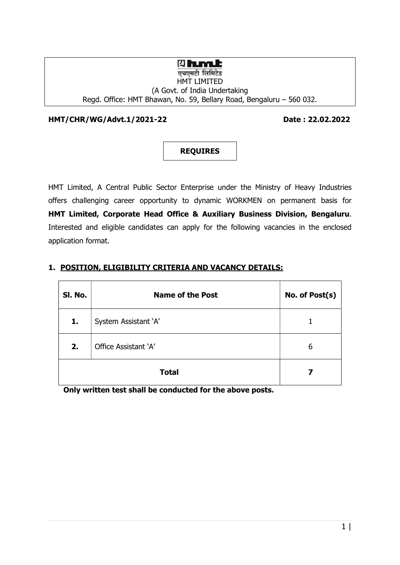## **<b>Qhumk**

#### एचएमटी लिमिटेड HMT LIMITED (A Govt. of India Undertaking Regd. Office: HMT Bhawan, No. 59, Bellary Road, Bengaluru – 560 032.

HMT/CHR/WG/Advt.1/2021-22 Date : 22.02.2022



HMT Limited, A Central Public Sector Enterprise under the Ministry of Heavy Industries offers challenging career opportunity to dynamic WORKMEN on permanent basis for HMT Limited, Corporate Head Office & Auxiliary Business Division, Bengaluru. Interested and eligible candidates can apply for the following vacancies in the enclosed application format.

| SI. No. | <b>Name of the Post</b> | No. of Post(s) |
|---------|-------------------------|----------------|
| 1.      | System Assistant 'A'    |                |
| 2.      | Office Assistant 'A'    | 6              |
|         | <b>Total</b>            | 7              |

#### 1. POSITION, ELIGIBILITY CRITERIA AND VACANCY DETAILS:

Only written test shall be conducted for the above posts.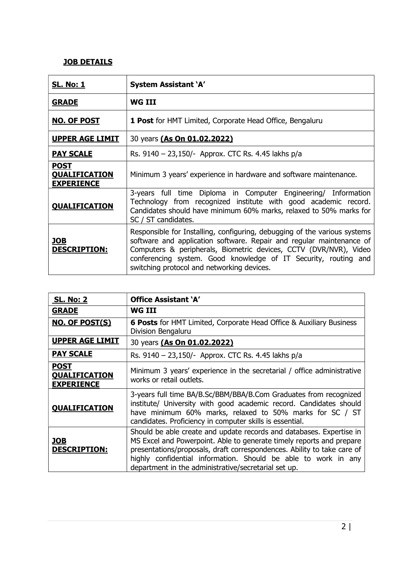## JOB DETAILS

| <u>SL. No: 1</u>                                         | <b>System Assistant 'A'</b>                                                                                                                                                                                                                                                                                                             |
|----------------------------------------------------------|-----------------------------------------------------------------------------------------------------------------------------------------------------------------------------------------------------------------------------------------------------------------------------------------------------------------------------------------|
| <b>GRADE</b>                                             | WG III                                                                                                                                                                                                                                                                                                                                  |
| <b>NO. OF POST</b>                                       | <b>1 Post</b> for HMT Limited, Corporate Head Office, Bengaluru                                                                                                                                                                                                                                                                         |
| <b>UPPER AGE LIMIT</b>                                   | 30 years (As On 01.02.2022)                                                                                                                                                                                                                                                                                                             |
| <b>PAY SCALE</b>                                         | Rs. 9140 - 23,150/- Approx. CTC Rs. 4.45 lakhs p/a                                                                                                                                                                                                                                                                                      |
| <b>POST</b><br><b>QUALIFICATION</b><br><b>EXPERIENCE</b> | Minimum 3 years' experience in hardware and software maintenance.                                                                                                                                                                                                                                                                       |
| <b>QUALIFICATION</b>                                     | 3-years full time Diploma in Computer Engineering/ Information<br>Technology from recognized institute with good academic record.<br>Candidates should have minimum 60% marks, relaxed to 50% marks for<br>SC / ST candidates.                                                                                                          |
| <b>JOB</b><br><b>DESCRIPTION:</b>                        | Responsible for Installing, configuring, debugging of the various systems<br>software and application software. Repair and regular maintenance of<br>Computers & peripherals, Biometric devices, CCTV (DVR/NVR), Video<br>conferencing system. Good knowledge of IT Security, routing and<br>switching protocol and networking devices. |

| <b>SL. No: 2</b>                                         | <b>Office Assistant 'A'</b>                                                                                                                                                                                                                                                                                                                       |
|----------------------------------------------------------|---------------------------------------------------------------------------------------------------------------------------------------------------------------------------------------------------------------------------------------------------------------------------------------------------------------------------------------------------|
| <b>GRADE</b>                                             | WG III                                                                                                                                                                                                                                                                                                                                            |
| <b>NO. OF POST(S)</b>                                    | <b>6 Posts</b> for HMT Limited, Corporate Head Office & Auxiliary Business<br>Division Bengaluru                                                                                                                                                                                                                                                  |
| <b>UPPER AGE LIMIT</b>                                   | 30 years (As On 01.02.2022)                                                                                                                                                                                                                                                                                                                       |
| <b>PAY SCALE</b>                                         | Rs. 9140 - 23,150/- Approx. CTC Rs. 4.45 lakhs p/a                                                                                                                                                                                                                                                                                                |
| <b>POST</b><br><b>QUALIFICATION</b><br><b>EXPERIENCE</b> | Minimum 3 years' experience in the secretarial / office administrative<br>works or retail outlets.                                                                                                                                                                                                                                                |
| <b>QUALIFICATION</b>                                     | 3-years full time BA/B.Sc/BBM/BBA/B.Com Graduates from recognized<br>institute/ University with good academic record. Candidates should<br>have minimum 60% marks, relaxed to 50% marks for SC / ST<br>candidates. Proficiency in computer skills is essential.                                                                                   |
| <u>JOB</u><br><b>DESCRIPTION:</b>                        | Should be able create and update records and databases. Expertise in<br>MS Excel and Powerpoint. Able to generate timely reports and prepare<br>presentations/proposals, draft correspondences. Ability to take care of<br>highly confidential information. Should be able to work in any<br>department in the administrative/secretarial set up. |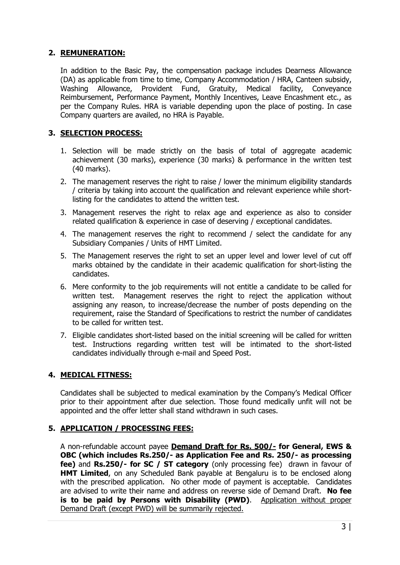#### 2. REMUNERATION:

In addition to the Basic Pay, the compensation package includes Dearness Allowance (DA) as applicable from time to time, Company Accommodation / HRA, Canteen subsidy, Washing Allowance, Provident Fund, Gratuity, Medical facility, Conveyance Reimbursement, Performance Payment, Monthly Incentives, Leave Encashment etc., as per the Company Rules. HRA is variable depending upon the place of posting. In case Company quarters are availed, no HRA is Payable.

## 3. SELECTION PROCESS:

- 1. Selection will be made strictly on the basis of total of aggregate academic achievement (30 marks), experience (30 marks) & performance in the written test (40 marks).
- 2. The management reserves the right to raise / lower the minimum eligibility standards / criteria by taking into account the qualification and relevant experience while shortlisting for the candidates to attend the written test.
- 3. Management reserves the right to relax age and experience as also to consider related qualification & experience in case of deserving / exceptional candidates.
- 4. The management reserves the right to recommend / select the candidate for any Subsidiary Companies / Units of HMT Limited.
- 5. The Management reserves the right to set an upper level and lower level of cut off marks obtained by the candidate in their academic qualification for short-listing the candidates.
- 6. Mere conformity to the job requirements will not entitle a candidate to be called for written test. Management reserves the right to reject the application without assigning any reason, to increase/decrease the number of posts depending on the requirement, raise the Standard of Specifications to restrict the number of candidates to be called for written test.
- 7. Eligible candidates short-listed based on the initial screening will be called for written test. Instructions regarding written test will be intimated to the short-listed candidates individually through e-mail and Speed Post.

## 4. MEDICAL FITNESS:

Candidates shall be subjected to medical examination by the Company's Medical Officer prior to their appointment after due selection. Those found medically unfit will not be appointed and the offer letter shall stand withdrawn in such cases.

#### 5. APPLICATION / PROCESSING FEES:

A non-refundable account payee **Demand Draft for Rs. 500/- for General, EWS &** OBC (which includes Rs.250/- as Application Fee and Rs. 250/- as processing fee) and Rs.250/- for SC / ST category (only processing fee) drawn in favour of **HMT Limited**, on any Scheduled Bank payable at Bengaluru is to be enclosed along with the prescribed application. No other mode of payment is acceptable. Candidates are advised to write their name and address on reverse side of Demand Draft. No fee is to be paid by Persons with Disability (PWD). Application without proper Demand Draft (except PWD) will be summarily rejected.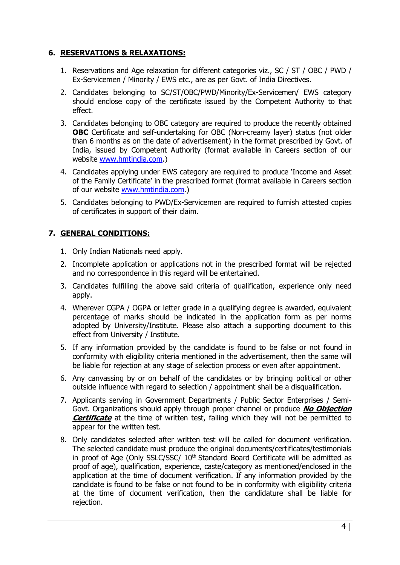#### 6. RESERVATIONS & RELAXATIONS:

- 1. Reservations and Age relaxation for different categories viz., SC / ST / OBC / PWD / Ex-Servicemen / Minority / EWS etc., are as per Govt. of India Directives.
- 2. Candidates belonging to SC/ST/OBC/PWD/Minority/Ex-Servicemen/ EWS category should enclose copy of the certificate issued by the Competent Authority to that effect.
- 3. Candidates belonging to OBC category are required to produce the recently obtained OBC Certificate and self-undertaking for OBC (Non-creamy layer) status (not older than 6 months as on the date of advertisement) in the format prescribed by Govt. of India, issued by Competent Authority (format available in Careers section of our website www.hmtindia.com.)
- 4. Candidates applying under EWS category are required to produce 'Income and Asset of the Family Certificate' in the prescribed format (format available in Careers section of our website www.hmtindia.com.)
- 5. Candidates belonging to PWD/Ex-Servicemen are required to furnish attested copies of certificates in support of their claim.

## 7. GENERAL CONDITIONS:

- 1. Only Indian Nationals need apply.
- 2. Incomplete application or applications not in the prescribed format will be rejected and no correspondence in this regard will be entertained.
- 3. Candidates fulfilling the above said criteria of qualification, experience only need apply.
- 4. Wherever CGPA / OGPA or letter grade in a qualifying degree is awarded, equivalent percentage of marks should be indicated in the application form as per norms adopted by University/Institute. Please also attach a supporting document to this effect from University / Institute.
- 5. If any information provided by the candidate is found to be false or not found in conformity with eligibility criteria mentioned in the advertisement, then the same will be liable for rejection at any stage of selection process or even after appointment.
- 6. Any canvassing by or on behalf of the candidates or by bringing political or other outside influence with regard to selection / appointment shall be a disqualification.
- 7. Applicants serving in Government Departments / Public Sector Enterprises / Semi-Govt. Organizations should apply through proper channel or produce **No Objection Certificate** at the time of written test, failing which they will not be permitted to appear for the written test.
- 8. Only candidates selected after written test will be called for document verification. The selected candidate must produce the original documents/certificates/testimonials in proof of Age (Only SSLC/SSC/  $10<sup>th</sup>$  Standard Board Certificate will be admitted as proof of age), qualification, experience, caste/category as mentioned/enclosed in the application at the time of document verification. If any information provided by the candidate is found to be false or not found to be in conformity with eligibility criteria at the time of document verification, then the candidature shall be liable for rejection.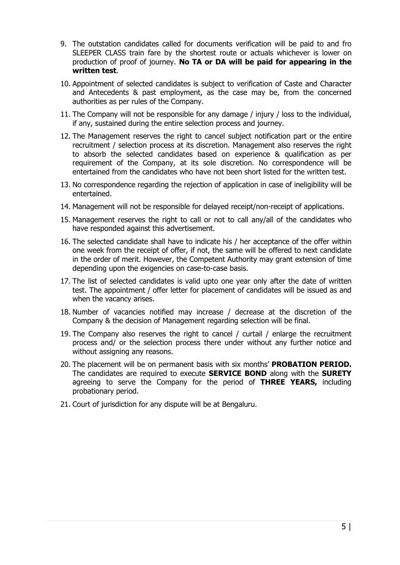- 9. The outstation candidates called for documents verification will be paid to and fro SLEEPER CLASS train fare by the shortest route or actuals whichever is lower on production of proof of journey. No TA or DA will be paid for appearing in the written test.
- 10. Appointment of selected candidates is subject to verification of Caste and Character and Antecedents & past employment, as the case may be, from the concerned authorities as per rules of the Company.
- 11. The Company will not be responsible for any damage / injury / loss to the individual, if any, sustained during the entire selection process and journey.
- 12. The Management reserves the right to cancel subject notification part or the entire recruitment / selection process at its discretion. Management also reserves the right to absorb the selected candidates based on experience & qualification as per requirement of the Company, at its sole discretion. No correspondence will be entertained from the candidates who have not been short listed for the written test.
- 13. No correspondence regarding the rejection of application in case of ineligibility will be entertained.
- 14. Management will not be responsible for delayed receipt/non-receipt of applications.
- 15. Management reserves the right to call or not to call any/all of the candidates who have responded against this advertisement.
- 16. The selected candidate shall have to indicate his / her acceptance of the offer within one week from the receipt of offer, if not, the same will be offered to next candidate in the order of merit. However, the Competent Authority may grant extension of time depending upon the exigencies on case-to-case basis.
- 17. The list of selected candidates is valid upto one year only after the date of written test. The appointment / offer letter for placement of candidates will be issued as and when the vacancy arises.
- 18. Number of vacancies notified may increase / decrease at the discretion of the Company & the decision of Management regarding selection will be final.
- 19. The Company also reserves the right to cancel / curtail / enlarge the recruitment process and/ or the selection process there under without any further notice and without assigning any reasons.
- 20. The placement will be on permanent basis with six months' **PROBATION PERIOD.** The candidates are required to execute **SERVICE BOND** along with the **SURETY** agreeing to serve the Company for the period of **THREE YEARS**, including probationary period.
- 21. Court of jurisdiction for any dispute will be at Bengaluru.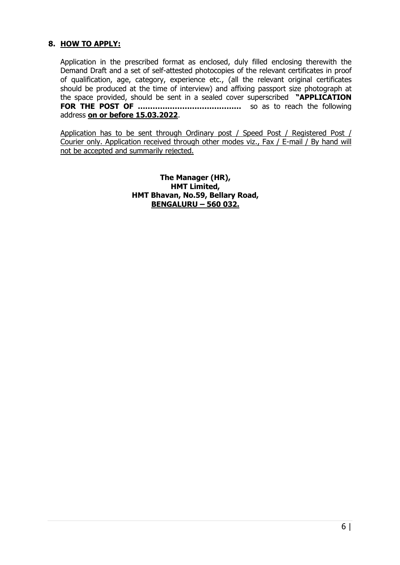## 8. HOW TO APPLY:

Application in the prescribed format as enclosed, duly filled enclosing therewith the Demand Draft and a set of self-attested photocopies of the relevant certificates in proof of qualification, age, category, experience etc., (all the relevant original certificates should be produced at the time of interview) and affixing passport size photograph at the space provided, should be sent in a sealed cover superscribed "APPLICATION FOR THE POST OF …………………………………… so as to reach the following address on or before 15.03.2022.

Application has to be sent through Ordinary post / Speed Post / Registered Post / Courier only. Application received through other modes viz., Fax / E-mail / By hand will not be accepted and summarily rejected.

> The Manager (HR), HMT Limited, HMT Bhavan, No.59, Bellary Road, BENGALURU – 560 032.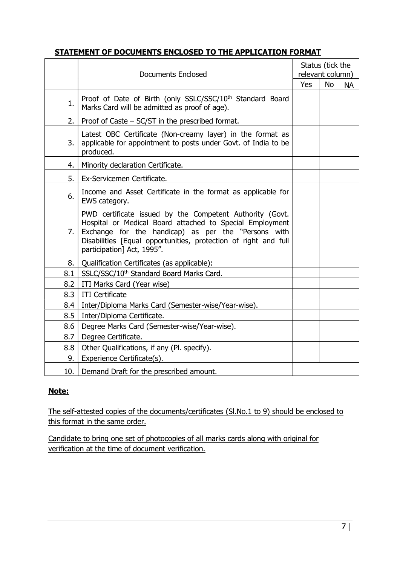## STATEMENT OF DOCUMENTS ENCLOSED TO THE APPLICATION FORMAT

|     | <b>Documents Enclosed</b>                                                                                                                                                                                                                                                    |     |           | Status (tick the<br>relevant column) |  |  |
|-----|------------------------------------------------------------------------------------------------------------------------------------------------------------------------------------------------------------------------------------------------------------------------------|-----|-----------|--------------------------------------|--|--|
|     |                                                                                                                                                                                                                                                                              | Yes | <b>No</b> | <b>NA</b>                            |  |  |
| 1.  | Proof of Date of Birth (only SSLC/SSC/10 <sup>th</sup> Standard Board<br>Marks Card will be admitted as proof of age).                                                                                                                                                       |     |           |                                      |  |  |
| 2.  | Proof of Caste $-$ SC/ST in the prescribed format.                                                                                                                                                                                                                           |     |           |                                      |  |  |
| 3.  | Latest OBC Certificate (Non-creamy layer) in the format as<br>applicable for appointment to posts under Govt. of India to be<br>produced.                                                                                                                                    |     |           |                                      |  |  |
| 4.  | Minority declaration Certificate.                                                                                                                                                                                                                                            |     |           |                                      |  |  |
| 5.  | Ex-Servicemen Certificate.                                                                                                                                                                                                                                                   |     |           |                                      |  |  |
| 6.  | Income and Asset Certificate in the format as applicable for<br>EWS category.                                                                                                                                                                                                |     |           |                                      |  |  |
| 7.  | PWD certificate issued by the Competent Authority (Govt.<br>Hospital or Medical Board attached to Special Employment<br>Exchange for the handicap) as per the "Persons with<br>Disabilities [Equal opportunities, protection of right and full<br>participation] Act, 1995". |     |           |                                      |  |  |
| 8.  | Qualification Certificates (as applicable):                                                                                                                                                                                                                                  |     |           |                                      |  |  |
| 8.1 | SSLC/SSC/10 <sup>th</sup> Standard Board Marks Card.                                                                                                                                                                                                                         |     |           |                                      |  |  |
| 8.2 | ITI Marks Card (Year wise)                                                                                                                                                                                                                                                   |     |           |                                      |  |  |
| 8.3 | <b>ITI Certificate</b>                                                                                                                                                                                                                                                       |     |           |                                      |  |  |
| 8.4 | Inter/Diploma Marks Card (Semester-wise/Year-wise).                                                                                                                                                                                                                          |     |           |                                      |  |  |
| 8.5 | Inter/Diploma Certificate.                                                                                                                                                                                                                                                   |     |           |                                      |  |  |
| 8.6 | Degree Marks Card (Semester-wise/Year-wise).                                                                                                                                                                                                                                 |     |           |                                      |  |  |
| 8.7 | Degree Certificate.                                                                                                                                                                                                                                                          |     |           |                                      |  |  |
| 8.8 | Other Qualifications, if any (Pl. specify).                                                                                                                                                                                                                                  |     |           |                                      |  |  |
| 9.  | Experience Certificate(s).                                                                                                                                                                                                                                                   |     |           |                                      |  |  |
| 10. | Demand Draft for the prescribed amount.                                                                                                                                                                                                                                      |     |           |                                      |  |  |

## Note:

The self-attested copies of the documents/certificates (Sl.No.1 to 9) should be enclosed to this format in the same order.

Candidate to bring one set of photocopies of all marks cards along with original for verification at the time of document verification.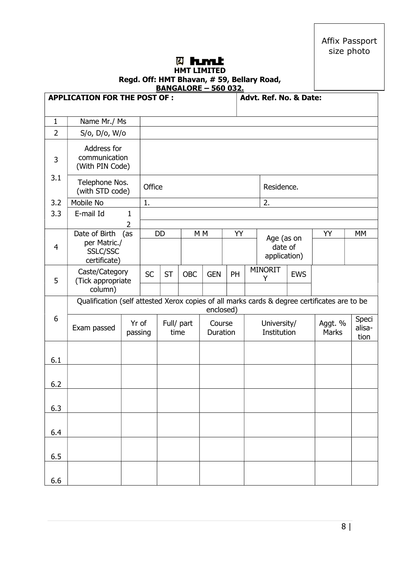Affix Passport size photo

# **<b>&** hmt

#### HMT LIMITED Regd. Off: HMT Bhavan, # 59, Bellary Road, BANGALORE – 560 032.

|                | <b>APPLICATION FOR THE POST OF:</b>                                                          |                  |           |                    |            |                    |    | Advt. Ref. No. & Date:                |            |                         |                         |
|----------------|----------------------------------------------------------------------------------------------|------------------|-----------|--------------------|------------|--------------------|----|---------------------------------------|------------|-------------------------|-------------------------|
| $\mathbf{1}$   | Name Mr./ Ms                                                                                 |                  |           |                    |            |                    |    |                                       |            |                         |                         |
| $\overline{2}$ | S/o, D/o, W/o                                                                                |                  |           |                    |            |                    |    |                                       |            |                         |                         |
| 3              | Address for<br>communication<br>(With PIN Code)                                              |                  |           |                    |            |                    |    |                                       |            |                         |                         |
| 3.1            | Telephone Nos.<br>(with STD code)                                                            |                  | Office    |                    |            |                    |    | Residence.                            |            |                         |                         |
| 3.2            | Mobile No                                                                                    |                  | 1.        |                    |            |                    |    | 2.                                    |            |                         |                         |
| 3.3            | E-mail Id                                                                                    | $\mathbf 1$      |           |                    |            |                    |    |                                       |            |                         |                         |
| $\overline{4}$ | Date of Birth<br>per Matric./<br>SSLC/SSC<br>certificate)                                    | 2<br>(as         |           | DD                 |            | M <sub>M</sub>     | YY | Age (as on<br>date of<br>application) |            | YY                      | MM                      |
| 5              | Caste/Category<br>(Tick appropriate<br>column)                                               |                  | <b>SC</b> | <b>ST</b>          | <b>OBC</b> | <b>GEN</b>         | PH | MINORIT<br>Y                          | <b>EWS</b> |                         |                         |
|                | Qualification (self attested Xerox copies of all marks cards & degree certificates are to be |                  |           |                    |            | enclosed)          |    |                                       |            |                         |                         |
| 6              | Exam passed                                                                                  | Yr of<br>passing |           | Full/ part<br>time |            | Course<br>Duration |    | University/<br>Institution            |            | Aggt. %<br><b>Marks</b> | Speci<br>alisa-<br>tion |
| 6.1            |                                                                                              |                  |           |                    |            |                    |    |                                       |            |                         |                         |
| 6.2            |                                                                                              |                  |           |                    |            |                    |    |                                       |            |                         |                         |
| 6.3            |                                                                                              |                  |           |                    |            |                    |    |                                       |            |                         |                         |
| 6.4            |                                                                                              |                  |           |                    |            |                    |    |                                       |            |                         |                         |
| 6.5            |                                                                                              |                  |           |                    |            |                    |    |                                       |            |                         |                         |
| 6.6            |                                                                                              |                  |           |                    |            |                    |    |                                       |            |                         |                         |